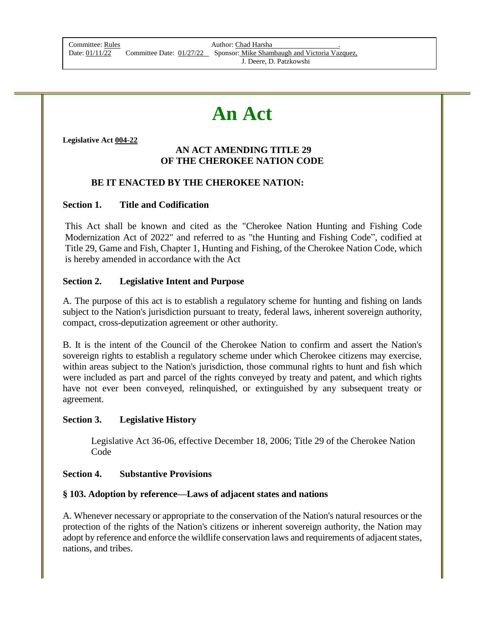| Committee: Rules |     |
|------------------|-----|
| Date: 01/11/22   | Cc. |

Author: Chad Harsha bommittee Date: 01/27/22 Sponsor: Mike Shambaugh and Victoria Vazquez, J. Deere, D. Patzkowshi

# **An Act**

**Legislative Act 004-22**

#### **AN ACT AMENDING TITLE 29 OF THE CHEROKEE NATION CODE**

#### **BE IT ENACTED BY THE CHEROKEE NATION:**

#### **Section 1. Title and Codification**

This Act shall be known and cited as the "Cherokee Nation Hunting and Fishing Code Modernization Act of 2022" and referred to as "the Hunting and Fishing Code", codified at Title 29, Game and Fish, Chapter 1, Hunting and Fishing, of the Cherokee Nation Code, which is hereby amended in accordance with the Act

#### **Section 2. Legislative Intent and Purpose**

A. The purpose of this act is to establish a regulatory scheme for hunting and fishing on lands subject to the Nation's jurisdiction pursuant to treaty, federal laws, inherent sovereign authority, compact, cross-deputization agreement or other authority.

B. It is the intent of the Council of the Cherokee Nation to confirm and assert the Nation's sovereign rights to establish a regulatory scheme under which Cherokee citizens may exercise, within areas subject to the Nation's jurisdiction, those communal rights to hunt and fish which were included as part and parcel of the rights conveyed by treaty and patent, and which rights have not ever been conveyed, relinquished, or extinguished by any subsequent treaty or agreement.

#### **Section 3. Legislative History**

Legislative Act 36-06, effective December 18, 2006; Title 29 of the Cherokee Nation Code

#### **Section 4. Substantive Provisions**

#### **§ 103. Adoption by reference—Laws of adjacent states and nations**

A. Whenever necessary or appropriate to the conservation of the Nation's natural resources or the protection of the rights of the Nation's citizens or inherent sovereign authority, the Nation may adopt by reference and enforce the wildlife conservation laws and requirements of adjacent states, nations, and tribes.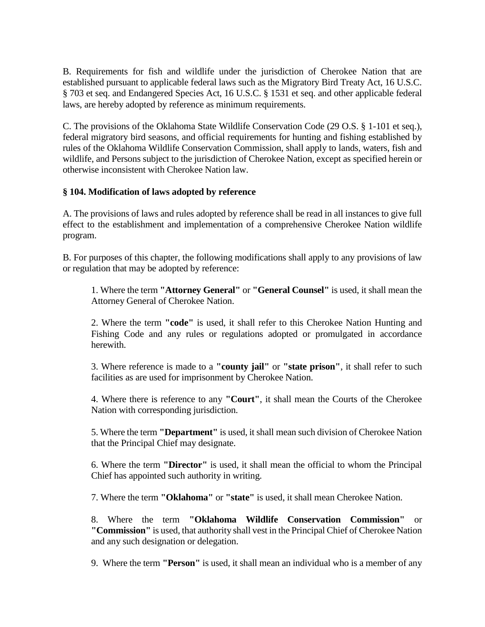B. Requirements for fish and wildlife under the jurisdiction of Cherokee Nation that are established pursuant to applicable federal laws such as the Migratory Bird Treaty Act, 16 U.S.C. § 703 et seq. and Endangered Species Act, 16 U.S.C. § 1531 et seq. and other applicable federal laws, are hereby adopted by reference as minimum requirements.

C. The provisions of the Oklahoma State Wildlife Conservation Code (29 O.S. § 1-101 et seq.), federal migratory bird seasons, and official requirements for hunting and fishing established by rules of the Oklahoma Wildlife Conservation Commission, shall apply to lands, waters, fish and wildlife, and Persons subject to the jurisdiction of Cherokee Nation, except as specified herein or otherwise inconsistent with Cherokee Nation law.

#### **§ 104. Modification of laws adopted by reference**

A. The provisions of laws and rules adopted by reference shall be read in all instances to give full effect to the establishment and implementation of a comprehensive Cherokee Nation wildlife program.

B. For purposes of this chapter, the following modifications shall apply to any provisions of law or regulation that may be adopted by reference:

1. Where the term **"Attorney General"** or **"General Counsel"** is used, it shall mean the Attorney General of Cherokee Nation.

2. Where the term **"code"** is used, it shall refer to this Cherokee Nation Hunting and Fishing Code and any rules or regulations adopted or promulgated in accordance herewith.

3. Where reference is made to a **"county jail"** or **"state prison"**, it shall refer to such facilities as are used for imprisonment by Cherokee Nation.

4. Where there is reference to any **"Court"**, it shall mean the Courts of the Cherokee Nation with corresponding jurisdiction.

5. Where the term **"Department"** is used, it shall mean such division of Cherokee Nation that the Principal Chief may designate.

6. Where the term **"Director"** is used, it shall mean the official to whom the Principal Chief has appointed such authority in writing.

7. Where the term **"Oklahoma"** or **"state"** is used, it shall mean Cherokee Nation.

8. Where the term **"Oklahoma Wildlife Conservation Commission"** or **"Commission"** is used, that authority shall vest in the Principal Chief of Cherokee Nation and any such designation or delegation.

9. Where the term **"Person"** is used, it shall mean an individual who is a member of any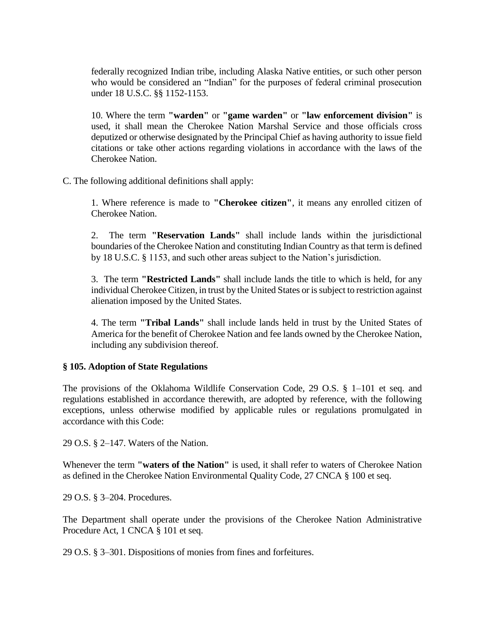federally recognized Indian tribe, including Alaska Native entities, or such other person who would be considered an "Indian" for the purposes of federal criminal prosecution under 18 U.S.C. §§ 1152-1153.

10. Where the term **"warden"** or **"game warden"** or **"law enforcement division"** is used, it shall mean the Cherokee Nation Marshal Service and those officials cross deputized or otherwise designated by the Principal Chief as having authority to issue field citations or take other actions regarding violations in accordance with the laws of the Cherokee Nation.

C. The following additional definitions shall apply:

1. Where reference is made to **"Cherokee citizen"**, it means any enrolled citizen of Cherokee Nation.

2. The term **"Reservation Lands"** shall include lands within the jurisdictional boundaries of the Cherokee Nation and constituting Indian Country as that term is defined by 18 U.S.C. § 1153, and such other areas subject to the Nation's jurisdiction.

3. The term **"Restricted Lands"** shall include lands the title to which is held, for any individual Cherokee Citizen, in trust by the United States or is subject to restriction against alienation imposed by the United States.

4. The term **"Tribal Lands"** shall include lands held in trust by the United States of America for the benefit of Cherokee Nation and fee lands owned by the Cherokee Nation, including any subdivision thereof.

#### **§ 105. Adoption of State Regulations**

The provisions of the Oklahoma Wildlife Conservation Code, 29 O.S. § 1–101 et seq. and regulations established in accordance therewith, are adopted by reference, with the following exceptions, unless otherwise modified by applicable rules or regulations promulgated in accordance with this Code:

29 O.S. § 2–147. Waters of the Nation.

Whenever the term **"waters of the Nation"** is used, it shall refer to waters of Cherokee Nation as defined in the Cherokee Nation Environmental Quality Code, 27 CNCA § 100 et seq.

29 O.S. § 3–204. Procedures.

The Department shall operate under the provisions of the Cherokee Nation Administrative Procedure Act, 1 CNCA § 101 et seq.

29 O.S. § 3–301. Dispositions of monies from fines and forfeitures.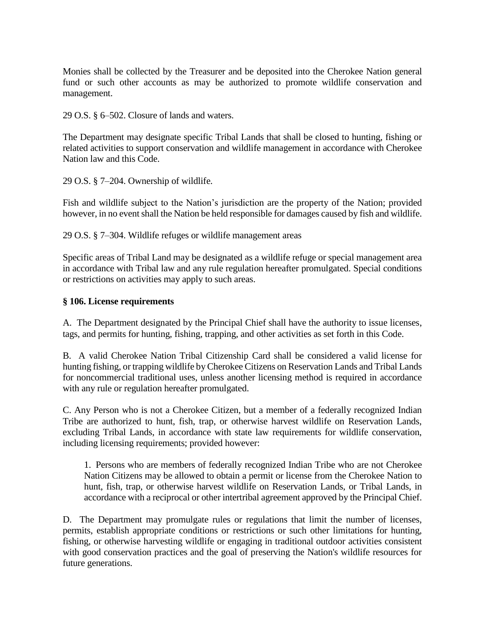Monies shall be collected by the Treasurer and be deposited into the Cherokee Nation general fund or such other accounts as may be authorized to promote wildlife conservation and management.

29 O.S. § 6–502. Closure of lands and waters.

The Department may designate specific Tribal Lands that shall be closed to hunting, fishing or related activities to support conservation and wildlife management in accordance with Cherokee Nation law and this Code.

29 O.S. § 7–204. Ownership of wildlife.

Fish and wildlife subject to the Nation's jurisdiction are the property of the Nation; provided however, in no event shall the Nation be held responsible for damages caused by fish and wildlife.

29 O.S. § 7–304. Wildlife refuges or wildlife management areas

Specific areas of Tribal Land may be designated as a wildlife refuge or special management area in accordance with Tribal law and any rule regulation hereafter promulgated. Special conditions or restrictions on activities may apply to such areas.

#### **§ 106. License requirements**

A. The Department designated by the Principal Chief shall have the authority to issue licenses, tags, and permits for hunting, fishing, trapping, and other activities as set forth in this Code.

B. A valid Cherokee Nation Tribal Citizenship Card shall be considered a valid license for hunting fishing, or trapping wildlife by Cherokee Citizens on Reservation Lands and Tribal Lands for noncommercial traditional uses, unless another licensing method is required in accordance with any rule or regulation hereafter promulgated.

C. Any Person who is not a Cherokee Citizen, but a member of a federally recognized Indian Tribe are authorized to hunt, fish, trap, or otherwise harvest wildlife on Reservation Lands, excluding Tribal Lands, in accordance with state law requirements for wildlife conservation, including licensing requirements; provided however:

1. Persons who are members of federally recognized Indian Tribe who are not Cherokee Nation Citizens may be allowed to obtain a permit or license from the Cherokee Nation to hunt, fish, trap, or otherwise harvest wildlife on Reservation Lands, or Tribal Lands, in accordance with a reciprocal or other intertribal agreement approved by the Principal Chief.

D. The Department may promulgate rules or regulations that limit the number of licenses, permits, establish appropriate conditions or restrictions or such other limitations for hunting, fishing, or otherwise harvesting wildlife or engaging in traditional outdoor activities consistent with good conservation practices and the goal of preserving the Nation's wildlife resources for future generations.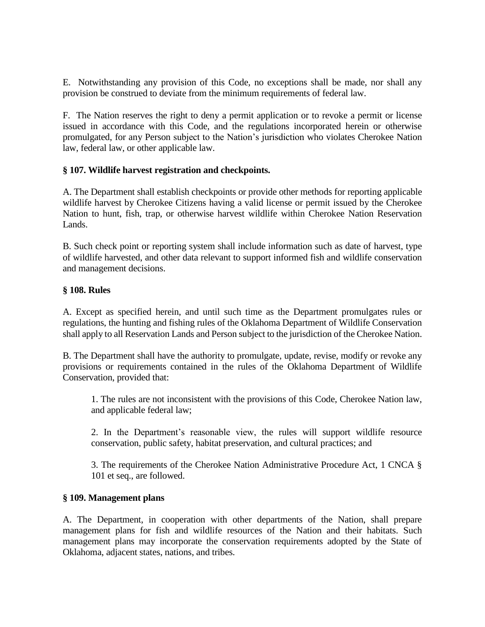E. Notwithstanding any provision of this Code, no exceptions shall be made, nor shall any provision be construed to deviate from the minimum requirements of federal law.

F. The Nation reserves the right to deny a permit application or to revoke a permit or license issued in accordance with this Code, and the regulations incorporated herein or otherwise promulgated, for any Person subject to the Nation's jurisdiction who violates Cherokee Nation law, federal law, or other applicable law.

# **§ 107. Wildlife harvest registration and checkpoints.**

A. The Department shall establish checkpoints or provide other methods for reporting applicable wildlife harvest by Cherokee Citizens having a valid license or permit issued by the Cherokee Nation to hunt, fish, trap, or otherwise harvest wildlife within Cherokee Nation Reservation Lands.

B. Such check point or reporting system shall include information such as date of harvest, type of wildlife harvested, and other data relevant to support informed fish and wildlife conservation and management decisions.

# **§ 108. Rules**

A. Except as specified herein, and until such time as the Department promulgates rules or regulations, the hunting and fishing rules of the Oklahoma Department of Wildlife Conservation shall apply to all Reservation Lands and Person subject to the jurisdiction of the Cherokee Nation.

B. The Department shall have the authority to promulgate, update, revise, modify or revoke any provisions or requirements contained in the rules of the Oklahoma Department of Wildlife Conservation, provided that:

1. The rules are not inconsistent with the provisions of this Code, Cherokee Nation law, and applicable federal law;

2. In the Department's reasonable view, the rules will support wildlife resource conservation, public safety, habitat preservation, and cultural practices; and

3. The requirements of the Cherokee Nation Administrative Procedure Act, 1 CNCA § 101 et seq., are followed.

# **§ 109. Management plans**

A. The Department, in cooperation with other departments of the Nation, shall prepare management plans for fish and wildlife resources of the Nation and their habitats. Such management plans may incorporate the conservation requirements adopted by the State of Oklahoma, adjacent states, nations, and tribes.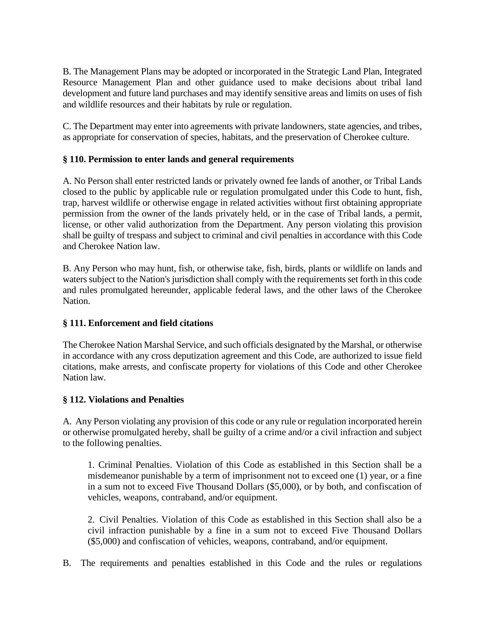B. The Management Plans may be adopted or incorporated in the Strategic Land Plan, Integrated Resource Management Plan and other guidance used to make decisions about tribal land development and future land purchases and may identify sensitive areas and limits on uses of fish and wildlife resources and their habitats by rule or regulation.

C. The Department may enter into agreements with private landowners, state agencies, and tribes, as appropriate for conservation of species, habitats, and the preservation of Cherokee culture.

# **§ 110. Permission to enter lands and general requirements**

A. No Person shall enter restricted lands or privately owned fee lands of another, or Tribal Lands closed to the public by applicable rule or regulation promulgated under this Code to hunt, fish, trap, harvest wildlife or otherwise engage in related activities without first obtaining appropriate permission from the owner of the lands privately held, or in the case of Tribal lands, a permit, license, or other valid authorization from the Department. Any person violating this provision shall be guilty of trespass and subject to criminal and civil penalties in accordance with this Code and Cherokee Nation law.

B. Any Person who may hunt, fish, or otherwise take, fish, birds, plants or wildlife on lands and waters subject to the Nation's jurisdiction shall comply with the requirements set forth in this code and rules promulgated hereunder, applicable federal laws, and the other laws of the Cherokee Nation.

# **§ 111. Enforcement and field citations**

The Cherokee Nation Marshal Service, and such officials designated by the Marshal, or otherwise in accordance with any cross deputization agreement and this Code, are authorized to issue field citations, make arrests, and confiscate property for violations of this Code and other Cherokee Nation law.

# **§ 112. Violations and Penalties**

A. Any Person violating any provision of this code or any rule or regulation incorporated herein or otherwise promulgated hereby, shall be guilty of a crime and/or a civil infraction and subject to the following penalties.

1. Criminal Penalties. Violation of this Code as established in this Section shall be a misdemeanor punishable by a term of imprisonment not to exceed one (1) year, or a fine in a sum not to exceed Five Thousand Dollars (\$5,000), or by both, and confiscation of vehicles, weapons, contraband, and/or equipment.

2. Civil Penalties. Violation of this Code as established in this Section shall also be a civil infraction punishable by a fine in a sum not to exceed Five Thousand Dollars (\$5,000) and confiscation of vehicles, weapons, contraband, and/or equipment.

B. The requirements and penalties established in this Code and the rules or regulations